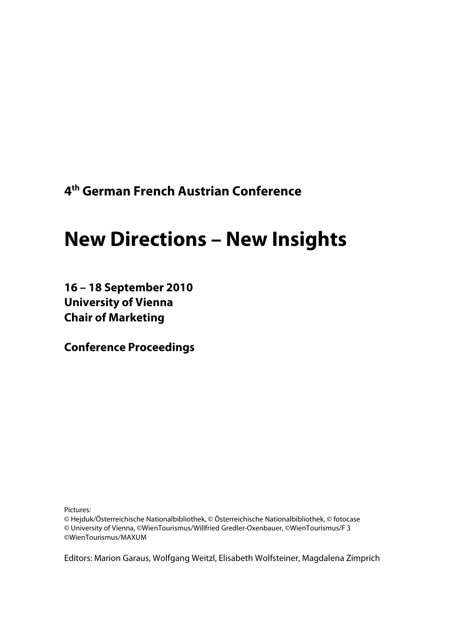**4 th German French Austrian Conference** 

# **New Directions – New Insights**

**16 – 18 September 2010 University of Vienna Chair of Marketing** 

**Conference Proceedings** 

Pictures:

© Hejduk/Österreichische Nationalbibliothek, © Österreichische Nationalbibliothek, © fotocase © University of Vienna, ©WienTourismus/Willfried Gredler-Oxenbauer, ©WienTourismus/F 3 ©WienTourismus/MAXUM

Editors: Marion Garaus, Wolfgang Weitzl, Elisabeth Wolfsteiner, Magdalena Zimprich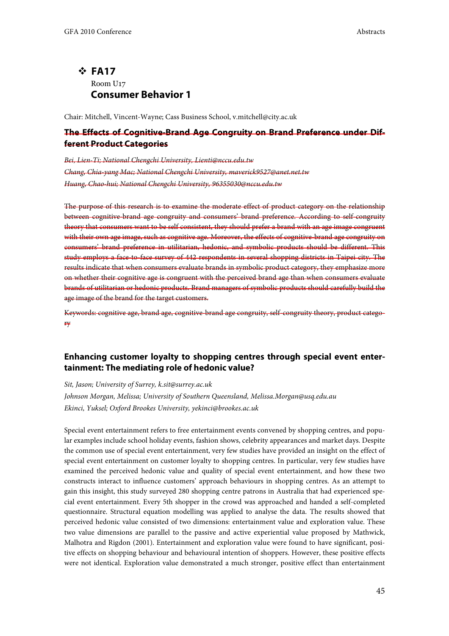## - **FA17**  Room U17 **Consumer Behavior 1**

Chair: Mitchell, Vincent-Wayne; Cass Business School, v.mitchell@city.ac.uk

## **The Effects of Cognitive-Brand Age Congruity on Brand Preference under Different Product Categories**

Bei, Lien-Ti; National Chengchi University, Lienti@nccu.edu.tw Chang, Chia-yang Mac; National Chengchi University, maverick9527@anet.net.tw Huang, Chao-hui; National Chengchi University, 96355030@nccu.edu.tw

The purpose of this research is to examine the moderate effect of product category on the relationship between cognitive-brand age congruity and consumers' brand preference. According to self-congruity theory that consumers want to be self consistent, they should prefer a brand with an age image congruent with their own age image, such as cognitive age. Moreover, the effects of cognitive-brand age congruity on consumers' brand preference in utilitarian, hedonic, and symbolic products should be different. This study employs a face-to-face survey of 442 respondents in several shopping districts in Taipei city. The results indicate that when consumers evaluate brands in symbolic product category, they emphasize more on whether their cognitive age is congruent with the perceived brand age than when consumers evaluate brands of utilitarian or hedonic products. Brand managers of symbolic products should carefully build the age image of the brand for the target customers.

Keywords: cognitive age, brand age, cognitive-brand age congruity, self-congruity theory, product category

## **Enhancing customer loyalty to shopping centres through special event entertainment: The mediating role of hedonic value?**

Sit, Jason; University of Surrey, k.sit@surrey.ac.uk

Johnson Morgan, Melissa; University of Southern Queensland, Melissa.Morgan@usq.edu.au Ekinci, Yuksel; Oxford Brookes University, yekinci@brookes.ac.uk

Special event entertainment refers to free entertainment events convened by shopping centres, and popular examples include school holiday events, fashion shows, celebrity appearances and market days. Despite the common use of special event entertainment, very few studies have provided an insight on the effect of special event entertainment on customer loyalty to shopping centres. In particular, very few studies have examined the perceived hedonic value and quality of special event entertainment, and how these two constructs interact to influence customers' approach behaviours in shopping centres. As an attempt to gain this insight, this study surveyed 280 shopping centre patrons in Australia that had experienced special event entertainment. Every 5th shopper in the crowd was approached and handed a self-completed questionnaire. Structural equation modelling was applied to analyse the data. The results showed that perceived hedonic value consisted of two dimensions: entertainment value and exploration value. These two value dimensions are parallel to the passive and active experiential value proposed by Mathwick, Malhotra and Rigdon (2001). Entertainment and exploration value were found to have significant, positive effects on shopping behaviour and behavioural intention of shoppers. However, these positive effects were not identical. Exploration value demonstrated a much stronger, positive effect than entertainment